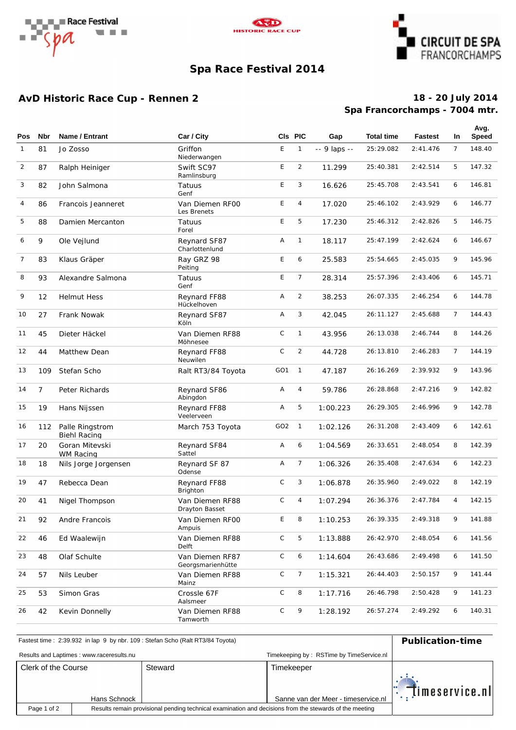





# **Spa Race Festival 2014**

## **AvD Historic Race Cup - Rennen 2**

### **Spa Francorchamps - 7004 mtr. 18 - 20 July 2014**

| <b>Pos</b>     | Nbr         | Name / Entrant                         | Car / City                           |                 | CIs PIC        | Gap          | <b>Total time</b> | <b>Fastest</b> | <b>In</b>      | Avg.<br><b>Speed</b> |
|----------------|-------------|----------------------------------------|--------------------------------------|-----------------|----------------|--------------|-------------------|----------------|----------------|----------------------|
| $\mathbf{1}$   | 81          | Jo Zosso                               | Griffon<br>Niederwangen              | E               | $\mathbf{1}$   | -- 9 laps -- | 25:29.082         | 2: 41.476      | $\overline{7}$ | 148.40               |
| $\overline{2}$ | 87          | Ralph Heiniger                         | Swift SC97<br>Ramlinsburg            | E               | $\overline{2}$ | 11.299       | 25:40.381         | 2: 42.514      | 5              | 147.32               |
| 3              | 82          | John Salmona                           | Tatuus<br>Genf                       | E               | 3              | 16.626       | 25:45.708         | 2: 43.541      | 6              | 146.81               |
| $\overline{4}$ | 86          | Francois Jeanneret                     | Van Diemen RFOO<br>Les Brenets       | E               | 4              | 17.020       | 25:46.102         | 2:43.929       | 6              | 146.77               |
| 5              | 88          | Damien Mercanton                       | Tatuus<br>Forel                      | E               | 5              | 17.230       | 25:46.312         | 2:42.826       | 5              | 146.75               |
| 6              | 9           | Ole Vejlund                            | Reynard SF87<br>Charlottenlund       | Α               | 1              | 18.117       | 25:47.199         | 2:42.624       | 6              | 146.67               |
| $\overline{7}$ | 83          | Klaus Gräper                           | Ray GRZ 98<br>Peiting                | E               | 6              | 25.583       | 25:54.665         | 2:45.035       | 9              | 145.96               |
| 8              | 93          | Alexandre Salmona                      | Tatuus<br>Genf                       | E               | $\overline{7}$ | 28.314       | 25:57.396         | 2: 43.406      | 6              | 145.71               |
| 9              | 12          | <b>Helmut Hess</b>                     | Reynard FF88<br>Hückelhoven          | A               | $\overline{2}$ | 38.253       | 26:07.335         | 2:46.254       | 6              | 144.78               |
| 10             | 27          | Frank Nowak                            | Reynard SF87<br>Köln                 | Α               | 3              | 42.045       | 26:11.127         | 2:45.688       | $\overline{7}$ | 144.43               |
| 11             | 45          | Dieter Häckel                          | Van Diemen RF88<br>Möhnesee          | $\mathsf C$     | $\mathbf{1}$   | 43.956       | 26:13.038         | 2:46.744       | 8              | 144.26               |
| 12             | 44          | Matthew Dean                           | Reynard FF88<br>Neuwilen             | C               | $\overline{2}$ | 44.728       | 26:13.810         | 2:46.283       | $\overline{7}$ | 144.19               |
| 13             | 109         | Stefan Scho                            | Ralt RT3/84 Toyota                   | GO <sub>1</sub> | $\mathbf{1}$   | 47.187       | 26:16.269         | 2:39.932       | 9              | 143.96               |
| 14             | $7^{\circ}$ | Peter Richards                         | Reynard SF86<br>Abingdon             | Α               | 4              | 59.786       | 26:28.868         | 2: 47.216      | 9              | 142.82               |
| 15             | 19          | Hans Nijssen                           | Reynard FF88<br>Veelerveen           | Α               | 5              | 1:00.223     | 26: 29.305        | 2:46.996       | 9              | 142.78               |
| 16             | 112         | Palle Ringstrom<br><b>Biehl Racing</b> | March 753 Toyota                     | GO2             | $\overline{1}$ | 1:02.126     | 26:31.208         | 2: 43.409      | 6              | 142.61               |
| 17             | 20          | Goran Mitevski<br>WM Racing            | Reynard SF84<br>Sattel               | Α               | 6              | 1:04.569     | 26: 33.651        | 2:48.054       | 8              | 142.39               |
| 18             | 18          | Nils Jorge Jorgensen                   | Reynard SF 87<br>Odense              | Α               | $\overline{7}$ | 1:06.326     | 26: 35.408        | 2: 47.634      | 6              | 142.23               |
| 19             | 47          | Rebecca Dean                           | Reynard FF88<br>Brighton             | C               | 3              | 1:06.878     | 26: 35.960        | 2:49.022       | 8              | 142.19               |
| 20             | 41          | Nigel Thompson                         | Van Diemen RF88<br>Drayton Basset    | C               | 4              | 1:07.294     | 26:36.376         | 2: 47.784      | $\overline{4}$ | 142.15               |
| 21             | 92          | Andre Francois                         | Van Diemen RFOO<br>Ampuis            | E               | 8              | 1:10.253     | 26: 39.335        | 2:49.318       | 9              | 141.88               |
| 22             | 46          | Ed Waalewijn                           | Van Diemen RF88<br>Delft             | С               | 5              | 1:13.888     | 26:42.970         | 2:48.054       | 6              | 141.56               |
| 23             | 48          | Olaf Schulte                           | Van Diemen RF87<br>Georgsmarienhütte | C               | 6              | 1:14.604     | 26:43.686         | 2:49.498       | 6              | 141.50               |
| 24             | 57          | Nils Leuber                            | Van Diemen RF88<br>Mainz             | С               | 7              | 1:15.321     | 26: 44.403        | 2:50.157       | 9              | 141.44               |
| 25             | 53          | Simon Gras                             | Crossle 67F<br>Aalsmeer              | C               | 8              | 1:17.716     | 26:46.798         | 2:50.428       | 9              | 141.23               |
| 26             | 42          | Kevin Donnelly                         | Van Diemen RF88<br>Tamworth          | С               | 9              | 1:28.192     | 26:57.274         | 2:49.292       | 6              | 140.31               |

| Fastest time: 2:39.932 in lap 9 by nbr. 109 : Stefan Scho (Ralt RT3/84 Toyota) | <b>Publication-time</b>                                                                                 |         |                                     |                |  |  |
|--------------------------------------------------------------------------------|---------------------------------------------------------------------------------------------------------|---------|-------------------------------------|----------------|--|--|
| Results and Laptimes: www.raceresults.nu                                       |                                                                                                         |         |                                     |                |  |  |
| Clerk of the Course                                                            |                                                                                                         | Steward | Timekeeper                          | timeservice.nl |  |  |
|                                                                                | Hans Schnock                                                                                            |         | Sanne van der Meer - timeservice.nl |                |  |  |
| Page 1 of 2                                                                    | Results remain provisional pending technical examination and decisions from the stewards of the meeting |         |                                     |                |  |  |